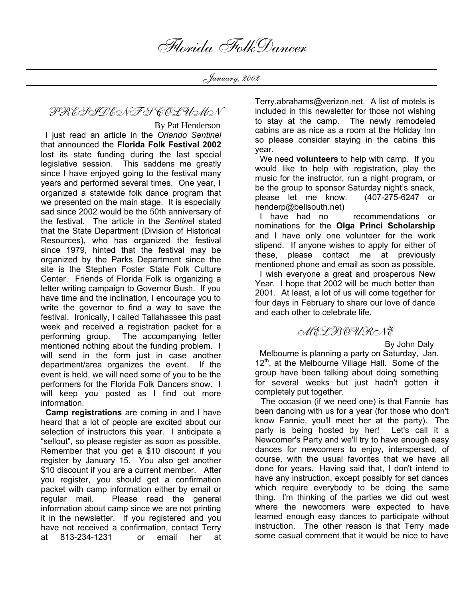January, 2002

## PRESIDENT'S COLUMN

By Pat Henderson

 I just read an article in the *Orlando Sentinel*  that announced the **Florida Folk Festival 2002** lost its state funding during the last special legislative session.This saddens me greatly since I have enjoyed going to the festival many years and performed several times. One year, I organized a statewide folk dance program that we presented on the main stage. It is especially sad since 2002 would be the 50th anniversary of the festival. The article in the *Sentine*l stated that the State Department (Division of Historical Resources), who has organized the festival since 1979, hinted that the festival may be organized by the Parks Department since the site is the Stephen Foster State Folk Culture Center. Friends of Florida Folk is organizing a letter writing campaign to Governor Bush. If you have time and the inclination, I encourage you to write the governor to find a way to save the festival. Ironically, I called Tallahassee this past week and received a registration packet for a performing group. The accompanying letter mentioned nothing about the funding problem. I will send in the form just in case another department/area organizes the event. If the event is held, we will need some of you to be the performers for the Florida Folk Dancers show. I will keep you posted as I find out more information.

 **Camp registrations** are coming in and I have heard that a lot of people are excited about our selection of instructors this year. I anticipate a "sellout", so please register as soon as possible. Remember that you get a \$10 discount if you register by January 15. You also get another \$10 discount if you are a current member. After you register, you should get a confirmation packet with camp information either by email or regular mail. Please read the general information about camp since we are not printing it in the newsletter. If you registered and you have not received a confirmation, contact Terry at 813-234-1231 or email her at

Terry.abrahams@verizon.net. A list of motels is included in this newsletter for those not wishing to stay at the camp. The newly remodeled cabins are as nice as a room at the Holiday Inn so please consider staying in the cabins this year.

 We need **volunteers** to help with camp. If you would like to help with registration, play the music for the instructor, run a night program, or be the group to sponsor Saturday night's snack, please let me know. (407-275-6247 or henderp@bellsouth.net)

 I have had no recommendations or nominations for the **Olga Princi Scholarship** and I have only one volunteer for the work stipend. If anyone wishes to apply for either of these, please contact me at previously mentioned phone and email as soon as possible.

 I wish everyone a great and prosperous New Year. I hope that 2002 will be much better than 2001. At least, a lot of us will come together for four days in February to share our love of dance and each other to celebrate life.

### MELBOURNE

By John Daly

 Melbourne is planning a party on Saturday, Jan.  $12<sup>th</sup>$ , at the Melbourne Village Hall. Some of the group have been talking about doing something for several weeks but just hadn't gotten it completely put together.

 The occasion (if we need one) is that Fannie has been dancing with us for a year (for those who don't know Fannie, you'll meet her at the party). The party is being hosted by her! Let's call it a Newcomer's Party and we'll try to have enough easy dances for newcomers to enjoy, interspersed, of course, with the usual favorites that we have all done for years. Having said that, I don't intend to have any instruction, except possibly for set dances which require everybody to be doing the same thing. I'm thinking of the parties we did out west where the newcomers were expected to have learned enough easy dances to participate without instruction. The other reason is that Terry made some casual comment that it would be nice to have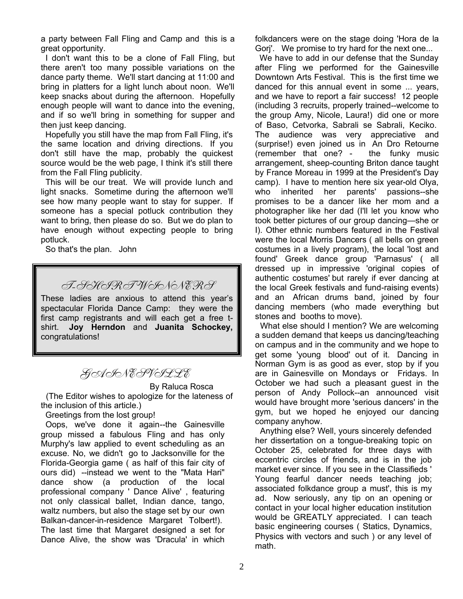a party between Fall Fling and Camp and this is a great opportunity.

 I don't want this to be a clone of Fall Fling, but there aren't too many possible variations on the dance party theme. We'll start dancing at 11:00 and bring in platters for a light lunch about noon. We'll keep snacks about during the afternoon. Hopefully enough people will want to dance into the evening, and if so we'll bring in something for supper and then just keep dancing.

 Hopefully you still have the map from Fall Fling, it's the same location and driving directions. If you don't still have the map, probably the quickest source would be the web page, I think it's still there from the Fall Fling publicity.

 This will be our treat. We will provide lunch and light snacks. Sometime during the afternoon we'll see how many people want to stay for supper. If someone has a special potluck contribution they want to bring, then please do so. But we do plan to have enough without expecting people to bring potluck.

So that's the plan. John

## T-SHIRT WINNERS

These ladies are anxious to attend this year's spectacular Florida Dance Camp: they were the first camp registrants and will each get a free tshirt. **Joy Herndon** and **Juanita Schockey,** congratulations!

## GAINESVILLE

By Raluca Rosca (The Editor wishes to apologize for the lateness of

the inclusion of this article.)

Greetings from the lost group!

 Oops, we've done it again--the Gainesville group missed a fabulous Fling and has only Murphy's law applied to event scheduling as an excuse. No, we didn't go to Jacksonville for the Florida-Georgia game ( as half of this fair city of ours did) --instead we went to the "Mata Hari" dance show (a production of the local professional company ' Dance Alive' , featuring not only classical ballet, Indian dance, tango, waltz numbers, but also the stage set by our own Balkan-dancer-in-residence Margaret Tolbert!). The last time that Margaret designed a set for Dance Alive, the show was 'Dracula' in which

folkdancers were on the stage doing 'Hora de la Gorj'. We promise to try hard for the next one...

We have to add in our defense that the Sunday after Fling we performed for the Gainesville Downtown Arts Festival. This is the first time we danced for this annual event in some ... years, and we have to report a fair success! 12 people (including 3 recruits, properly trained--welcome to the group Amy, Nicole, Laura!) did one or more of Baso, Cetvorka, Sabrali se Sabrali, Keciko. The audience was very appreciative and (surprise!) even joined us in An Dro Retourne (remember that one? - the funky music arrangement, sheep-counting Briton dance taught by France Moreau in 1999 at the President's Day camp). I have to mention here six year-old Olya, who inherited her parents' passions--she promises to be a dancer like her mom and a photographer like her dad (I'll let you know who took better pictures of our group dancing—she or I). Other ethnic numbers featured in the Festival were the local Morris Dancers ( all bells on green costumes in a lively program), the local 'lost and found' Greek dance group 'Parnasus' ( all dressed up in impressive 'original copies of authentic costumes' but rarely if ever dancing at the local Greek festivals and fund-raising events) and an African drums band, joined by four dancing members (who made everything but stones and booths to move).

 What else should I mention? We are welcoming a sudden demand that keeps us dancing/teaching on campus and in the community and we hope to get some 'young blood' out of it. Dancing in Norman Gym is as good as ever, stop by if you are in Gainesville on Mondays or Fridays. In October we had such a pleasant guest in the person of Andy Pollock--an announced visit would have brought more 'serious dancers' in the gym, but we hoped he enjoyed our dancing company anyhow.

 Anything else? Well, yours sincerely defended her dissertation on a tongue-breaking topic on October 25, celebrated for three days with eccentric circles of friends, and is in the job market ever since. If you see in the Classifieds ' Young fearful dancer needs teaching job; associated folkdance group a must', this is my ad. Now seriously, any tip on an opening or contact in your local higher education institution would be GREATLY appreciated. I can teach basic engineering courses ( Statics, Dynamics, Physics with vectors and such ) or any level of math.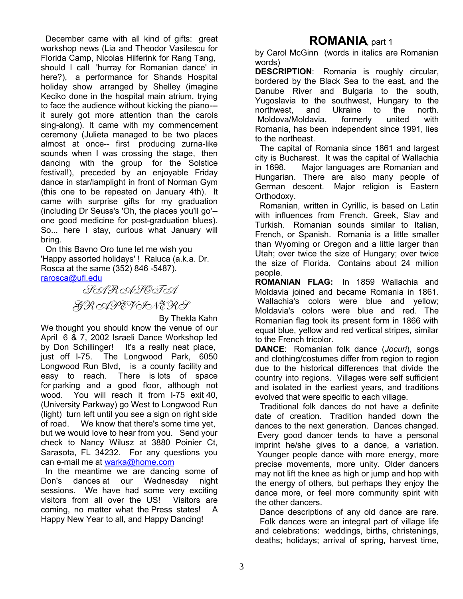December came with all kind of gifts: great workshop news (Lia and Theodor Vasilescu for Florida Camp, Nicolas Hilferink for Rang Tang, should I call 'hurray for Romanian dance' in here?), a performance for Shands Hospital holiday show arranged by Shelley (imagine Keciko done in the hospital main atrium, trying to face the audience without kicking the piano-- it surely got more attention than the carols sing-along). It came with my commencement ceremony (Julieta managed to be two places almost at once-- first producing zurna-like sounds when I was crossing the stage, then dancing with the group for the Solstice festival!), preceded by an enjoyable Friday dance in star/lamplight in front of Norman Gym (this one to be repeated on January 4th). It came with surprise gifts for my graduation (including Dr Seuss's 'Oh, the places you'll go'- one good medicine for post-graduation blues). So... here I stay, curious what January will bring.

 On this Bavno Oro tune let me wish you 'Happy assorted holidays' ! Raluca (a.k.a. Dr. Rosca at the same (352) 846 -5487). rarosca@ufl.edu



By Thekla Kahn

We thought you should know the venue of our April 6 & 7, 2002 Israeli Dance Workshop led by Don Schillinger! It's a really neat place, just off I-75. The Longwood Park, 6050 Longwood Run Blvd, is a county facility and easy to reach. There is lots of space for parking and a good floor, although not wood. You will reach it from I-75 exit 40, (University Parkway) go West to Longwood Run (light) turn left until you see a sign on right side of road. We know that there's some time yet, but we would love to hear from you. Send your check to Nancy Wilusz at 3880 Poinier Ct, Sarasota, FL 34232. For any questions you can e-mail me at warka@home.com

 In the meantime we are dancing some of Don's dances at our Wednesday night sessions. We have had some very exciting visitors from all over the US! Visitors are coming, no matter what the Press states! A Happy New Year to all, and Happy Dancing!

## **ROMANIA**, part 1

by Carol McGinn (words in italics are Romanian words)

**DESCRIPTION**: Romania is roughly circular, bordered by the Black Sea to the east, and the Danube River and Bulgaria to the south, Yugoslavia to the southwest, Hungary to the northwest, and Ukraine to the north. Moldova/Moldavia, formerly united with Romania, has been independent since 1991, lies to the northeast.

 The capital of Romania since 1861 and largest city is Bucharest. It was the capital of Wallachia in 1698. Major languages are Romanian and Hungarian. There are also many people of German descent. Major religion is Eastern Orthodoxy.

 Romanian, written in Cyrillic, is based on Latin with influences from French, Greek, Slav and Turkish. Romanian sounds similar to Italian, French, or Spanish. Romania is a little smaller than Wyoming or Oregon and a little larger than Utah; over twice the size of Hungary; over twice the size of Florida. Contains about 24 million people.

**ROMANIAN FLAG:** In 1859 Wallachia and Moldavia joined and became Romania in 1861. Wallachia's colors were blue and yellow; Moldavia's colors were blue and red. The Romanian flag took its present form in 1866 with equal blue, yellow and red vertical stripes, similar to the French tricolor.

**DANCE**: Romanian folk dance (*Jocuri*), songs and clothing/costumes differ from region to region due to the historical differences that divide the country into regions. Villages were self sufficient and isolated in the earliest years, and traditions evolved that were specific to each village.

 Traditional folk dances do not have a definite date of creation. Tradition handed down the dances to the next generation. Dances changed. Every good dancer tends to have a personal imprint he/she gives to a dance, a variation. Younger people dance with more energy, more precise movements, more unity. Older dancers may not lift the knee as high or jump and hop with the energy of others, but perhaps they enjoy the dance more, or feel more community spirit with the other dancers.

 Dance descriptions of any old dance are rare. Folk dances were an integral part of village life and celebrations: weddings, births, christenings, deaths; holidays; arrival of spring, harvest time,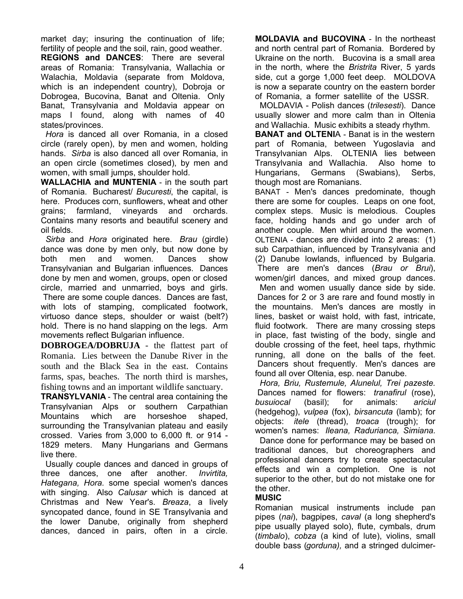market day; insuring the continuation of life; fertility of people and the soil, rain, good weather. **REGIONS and DANCES**: There are several areas of Romania: Transylvania, Wallachia or Walachia, Moldavia (separate from Moldova, which is an independent country), Dobroja or Dobrogea, Bucovina, Banat and Oltenia. Only Banat, Transylvania and Moldavia appear on maps I found, along with names of 40 states/provinces.

 *Hora* is danced all over Romania, in a closed circle (rarely open), by men and women, holding hands. *Sirba* is also danced all over Romania, in an open circle (sometimes closed), by men and women, with small jumps, shoulder hold.

**WALLACHIA and MUNTENIA** - in the south part of Romania. Bucharest/ *Bucuresti*, the capital, is here. Produces corn, sunflowers, wheat and other grains; farmland, vineyards and orchards. Contains many resorts and beautiful scenery and oil fields.

 *Sirba* and *Hora* originated here. *Brau* (girdle) dance was done by men only, but now done by both men and women. Dances show Transylvanian and Bulgarian influences. Dances done by men and women, groups, open or closed circle, married and unmarried, boys and girls. There are some couple dances. Dances are fast, with lots of stamping, complicated footwork, virtuoso dance steps, shoulder or waist (belt?) hold. There is no hand slapping on the legs. Arm movements reflect Bulgarian influence.

**DOBROGEA/DOBRUJA** - the flattest part of Romania. Lies between the Danube River in the south and the Black Sea in the east. Contains farms, spas, beaches. The north third is marshes, fishing towns and an important wildlife sanctuary.

**TRANSYLVANIA** - The central area containing the Transylvanian Alps or southern Carpathian Mountains which are horseshoe shaped, surrounding the Transylvanian plateau and easily crossed. Varies from 3,000 to 6,000 ft. or 914 - 1829 meters. Many Hungarians and Germans live there.

 Usually couple dances and danced in groups of three dances, one after another. *Invirtita, Hategana, Hora.* some special women's dances with singing. Also *Calusar* which is danced at Christmas and New Year's. *Breaza*, a lively syncopated dance, found in SE Transylvania and the lower Danube, originally from shepherd dances, danced in pairs, often in a circle.

**MOLDAVIA and BUCOVINA** - In the northeast and north central part of Romania. Bordered by Ukraine on the north. Bucovina is a small area in the north, where the *Bristrita* River, 5 yards side, cut a gorge 1,000 feet deep. MOLDOVA is now a separate country on the eastern border of Romania, a former satellite of the USSR.

 MOLDAVIA - Polish dances (*trilesesti*). Dance usually slower and more calm than in Oltenia and Wallachia. Music exhibits a steady rhythm.

**BANAT and OLTENI**A - Banat is in the western part of Romania, between Yugoslavia and Transylvanian Alps. OLTENIA lies between Transylvania and Wallachia. Also home to Hungarians, Germans (Swabians), Serbs, though most are Romanians.

BANAT - Men's dances predominate, though there are some for couples. Leaps on one foot, complex steps. Music is melodious. Couples face, holding hands and go under arch of another couple. Men whirl around the women. OLTENIA - dances are divided into 2 areas: (1) sub Carpathian, influenced by Transylvania and (2) Danube lowlands, influenced by Bulgaria. There are men's dances (*Brau or Brui*), women/girl dances, and mixed group dances.

 Men and women usually dance side by side. Dances for 2 or 3 are rare and found mostly in the mountains. Men's dances are mostly in lines, basket or waist hold, with fast, intricate, fluid footwork. There are many crossing steps in place, fast twisting of the body, single and double crossing of the feet, heel taps, rhythmic running, all done on the balls of the feet. Dancers shout frequently. Men's dances are found all over Oltenia, esp. near Danube.

 *Hora, Briu, Rustemule, Alunelul, Trei pazeste.* Dances named for flowers: *tranafirul* (rose), *busuiocal* (basil); for animals: *ariciul* (hedgehog), *vulpea* (fox), *birsancuta* (lamb); for objects: *itele* (thread), *troaca* (trough); for women's names: *Ileana, Radurianca, Simiana.*

Dance done for performance may be based on traditional dances, but choreographers and professional dancers try to create spectacular effects and win a completion. One is not superior to the other, but do not mistake one for the other.

### **MUSIC**

Romanian musical instruments include pan pipes (*nai*), bagpipes, *caval* (a long shepherd's pipe usually played solo), flute, cymbals, drum (*timbalo*), *cobza* (a kind of lute), violins, small double bass (*gorduna),* and a stringed dulcimer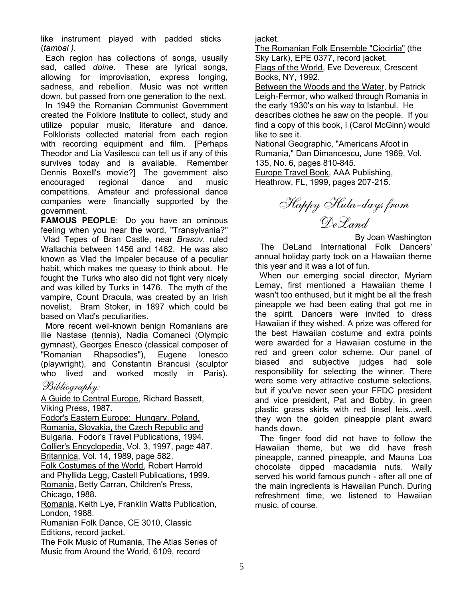like instrument played with padded sticks (*tambal ).*

 Each region has collections of songs, usually sad, called *doine*. These are lyrical songs, allowing for improvisation, express longing, sadness, and rebellion. Music was not written down, but passed from one generation to the next.

 In 1949 the Romanian Communist Government created the Folklore Institute to collect, study and utilize popular music, literature and dance. Folklorists collected material from each region with recording equipment and film. [Perhaps Theodor and Lia Vasilescu can tell us if any of this survives today and is available. Remember Dennis Boxell's movie?] The government also encouraged regional dance and music competitions. Amateur and professional dance companies were financially supported by the government.

**FAMOUS PEOPLE**: Do you have an ominous feeling when you hear the word, "Transylvania?" Vlad Tepes of Bran Castle, near *Brasov*, ruled Wallachia between 1456 and 1462. He was also known as Vlad the Impaler because of a peculiar habit, which makes me queasy to think about. He fought the Turks who also did not fight very nicely and was killed by Turks in 1476. The myth of the vampire, Count Dracula, was created by an Irish novelist, Bram Stoker, in 1897 which could be based on Vlad's peculiarities.

 More recent well-known benign Romanians are Ilie Nastase (tennis), Nadia Comaneci (Olympic gymnast), Georges Enesco (classical composer of "Romanian Rhapsodies"), Eugene Ionesco (playwright), and Constantin Brancusi (sculptor who lived and worked mostly in Paris).

### Bibliography:

A Guide to Central Europe, Richard Bassett, Viking Press, 1987.

Fodor's Eastern Europe: Hungary, Poland, Romania, Slovakia, the Czech Republic and Bulgaria. Fodor's Travel Publications, 1994. Collier's Encyclopedia, Vol. 3, 1997, page 487. Britannica, Vol. 14, 1989, page 582. Folk Costumes of the World, Robert Harrold and Phyllida Legg, Castell Publications, 1999. Romania, Betty Carran, Children's Press, Chicago, 1988.

Romania, Keith Lye, Franklin Watts Publication, London, 1988.

Rumanian Folk Dance, CE 3010, Classic Editions, record jacket.

The Folk Music of Rumania, The Atlas Series of Music from Around the World, 6109, record

jacket.

The Romanian Folk Ensemble "Ciocirlia" (the Sky Lark), EPE 0377, record jacket. Flags of the World, Eve Devereux, Crescent Books, NY, 1992.

Between the Woods and the Water, by Patrick Leigh-Fermor, who walked through Romania in the early 1930's on his way to Istanbul. He describes clothes he saw on the people. If you find a copy of this book, I (Carol McGinn) would like to see it.

National Geographic, "Americans Afoot in Rumania," Dan Dimancescu, June 1969, Vol. 135, No. 6, pages 810-845.

Europe Travel Book, AAA Publishing, Heathrow, FL, 1999, pages 207-215.

Happy Hula-days from DeLand

 By Joan Washington The DeLand International Folk Dancers' annual holiday party took on a Hawaiian theme this year and it was a lot of fun.

 When our emerging social director, Myriam Lemay, first mentioned a Hawaiian theme I wasn't too enthused, but it might be all the fresh pineapple we had been eating that got me in the spirit. Dancers were invited to dress Hawaiian if they wished. A prize was offered for the best Hawaiian costume and extra points were awarded for a Hawaiian costume in the red and green color scheme. Our panel of biased and subjective judges had sole responsibility for selecting the winner. There were some very attractive costume selections, but if you've never seen your FFDC president and vice president, Pat and Bobby, in green plastic grass skirts with red tinsel leis...well, they won the golden pineapple plant award hands down.

 The finger food did not have to follow the Hawaiian theme, but we did have fresh pineapple, canned pineapple, and Mauna Loa chocolate dipped macadamia nuts. Wally served his world famous punch - after all one of the main ingredients is Hawaiian Punch. During refreshment time, we listened to Hawaiian music, of course.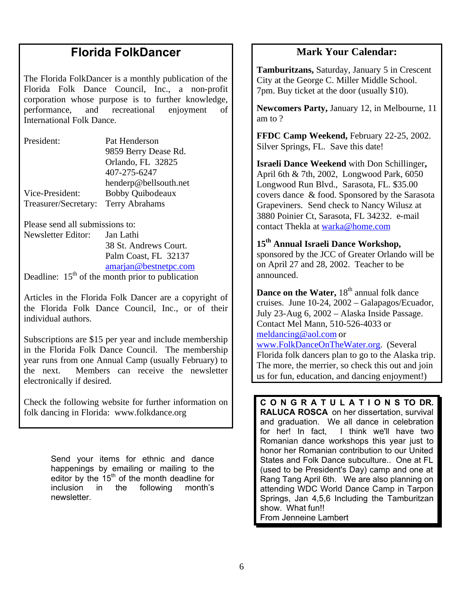# **Florida FolkDancer**

The Florida FolkDancer is a monthly publication of the Florida Folk Dance Council, Inc., a non-profit corporation whose purpose is to further knowledge, performance, and recreational enjoyment of International Folk Dance.

| President:           | Pat Henderson           |  |
|----------------------|-------------------------|--|
|                      | 9859 Berry Dease Rd.    |  |
|                      | Orlando, FL 32825       |  |
|                      | 407-275-6247            |  |
|                      | henderp@bellsouth.net   |  |
| Vice-President:      | <b>Bobby Quibodeaux</b> |  |
| Treasurer/Secretary: | <b>Terry Abrahams</b>   |  |

Please send all submissions to:

Newsletter Editor: Jan Lathi 38 St. Andrews Court. Palm Coast, FL 32137 amarjan@bestnetpc.com

Deadline:  $15<sup>th</sup>$  of the month prior to publication

Articles in the Florida Folk Dancer are a copyright of the Florida Folk Dance Council, Inc., or of their individual authors.

Subscriptions are \$15 per year and include membership in the Florida Folk Dance Council. The membership year runs from one Annual Camp (usually February) to the next. Members can receive the newsletter electronically if desired.

Check the following website for further information on folk dancing in Florida: www.folkdance.org

> Send your items for ethnic and dance happenings by emailing or mailing to the editor by the  $15<sup>th</sup>$  of the month deadline for inclusion in the following month's newsletter.

## **Mark Your Calendar:**

**Tamburitzans,** Saturday, January 5 in Crescent City at the George C. Miller Middle School. 7pm. Buy ticket at the door (usually \$10).

**Newcomers Party,** January 12, in Melbourne, 11 am to ?

**FFDC Camp Weekend,** February 22-25, 2002. Silver Springs, FL. Save this date!

**Israeli Dance Weekend** with Don Schillinger**,** April 6th & 7th, 2002, Longwood Park, 6050 Longwood Run Blvd., Sarasota, FL. \$35.00 covers dance & food. Sponsored by the Sarasota Grapeviners. Send check to Nancy Wilusz at 3880 Poinier Ct, Sarasota, FL 34232. e-mail contact Thekla at warka@home.com

**15th Annual Israeli Dance Workshop,**  sponsored by the JCC of Greater Orlando will be on April 27 and 28, 2002. Teacher to be announced.

**Dance on the Water, 18<sup>th</sup> annual folk dance** cruises. June 10-24, 2002 – Galapagos/Ecuador, July 23-Aug 6, 2002 – Alaska Inside Passage. Contact Mel Mann, 510-526-4033 or meldancing@aol.com or www.FolkDanceOnTheWater.org. (Several

Florida folk dancers plan to go to the Alaska trip. The more, the merrier, so check this out and join us for fun, education, and dancing enjoyment!)

**C O N G R A T U L A T I O N S TO DR. RALUCA ROSCA** on her dissertation, survival and graduation. We all dance in celebration for her! In fact, I think we'll have two Romanian dance workshops this year just to honor her Romanian contribution to our United States and Folk Dance subculture.. One at FL (used to be President's Day) camp and one at Rang Tang April 6th. We are also planning on attending WDC World Dance Camp in Tarpon Springs, Jan 4,5,6 Including the Tamburitzan show. What fun!! From Jenneine Lambert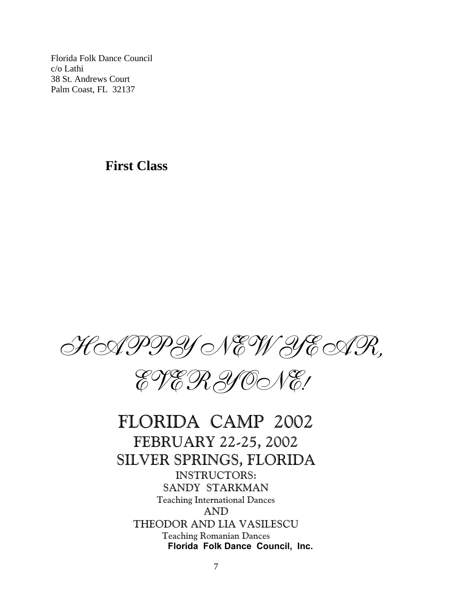Florida Folk Dance Council c/o Lathi 38 St. Andrews Court Palm Coast, FL 32137

# **First Class**





FLORIDA CAMP 2002 FEBRUARY 22-25, 2002 SILVER SPRINGS, FLORIDA INSTRUCTORS: SANDY STARKMAN Teaching International Dances AND THEODOR AND LIA VASILESCU Teaching Romanian Dances  **Florida Folk Dance Council, Inc.**